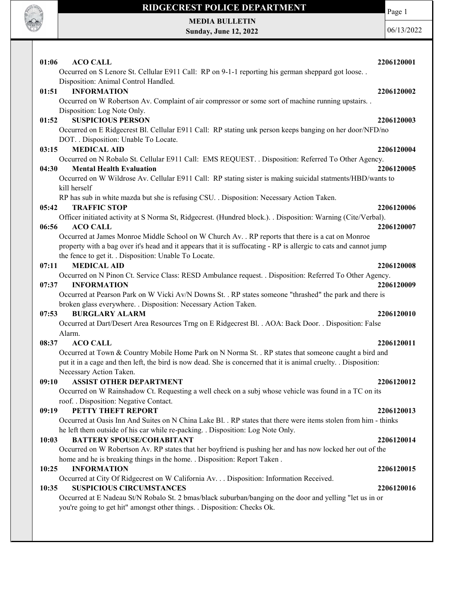

MEDIA BULLETIN Sunday, June 12, 2022 Page 1

| <b>ACO CALL</b><br>01:06                                                                                                                                                   | 2206120001 |
|----------------------------------------------------------------------------------------------------------------------------------------------------------------------------|------------|
| Occurred on S Lenore St. Cellular E911 Call: RP on 9-1-1 reporting his german sheppard got loose                                                                           |            |
| Disposition: Animal Control Handled.                                                                                                                                       |            |
| <b>INFORMATION</b><br>01:51                                                                                                                                                | 2206120002 |
| Occurred on W Robertson Av. Complaint of air compressor or some sort of machine running upstairs. .<br>Disposition: Log Note Only.                                         |            |
| <b>SUSPICIOUS PERSON</b><br>01:52                                                                                                                                          | 2206120003 |
| Occurred on E Ridgecrest Bl. Cellular E911 Call: RP stating unk person keeps banging on her door/NFD/no                                                                    |            |
| DOT. . Disposition: Unable To Locate.                                                                                                                                      |            |
| <b>MEDICAL AID</b><br>03:15                                                                                                                                                | 2206120004 |
| Occurred on N Robalo St. Cellular E911 Call: EMS REQUEST. . Disposition: Referred To Other Agency.                                                                         |            |
| 04:30<br><b>Mental Health Evaluation</b>                                                                                                                                   | 2206120005 |
| Occurred on W Wildrose Av. Cellular E911 Call: RP stating sister is making suicidal statments/HBD/wants to                                                                 |            |
| kill herself                                                                                                                                                               |            |
| RP has sub in white mazda but she is refusing CSU. . Disposition: Necessary Action Taken.                                                                                  |            |
| 05:42<br><b>TRAFFIC STOP</b>                                                                                                                                               | 2206120006 |
| Officer initiated activity at S Norma St, Ridgecrest. (Hundred block.). Disposition: Warning (Cite/Verbal).                                                                |            |
| <b>ACO CALL</b><br>06:56                                                                                                                                                   | 2206120007 |
| Occurred at James Monroe Middle School on W Church Av. . RP reports that there is a cat on Monroe                                                                          |            |
| property with a bag over it's head and it appears that it is suffocating - RP is allergic to cats and cannot jump                                                          |            |
| the fence to get it. . Disposition: Unable To Locate.                                                                                                                      |            |
| <b>MEDICAL AID</b><br>07:11                                                                                                                                                | 2206120008 |
| Occurred on N Pinon Ct. Service Class: RESD Ambulance request. . Disposition: Referred To Other Agency.                                                                    | 2206120009 |
| 07:37<br><b>INFORMATION</b>                                                                                                                                                |            |
| Occurred at Pearson Park on W Vicki Av/N Downs St. . RP states someone "thrashed" the park and there is<br>broken glass everywhere. . Disposition: Necessary Action Taken. |            |
| <b>BURGLARY ALARM</b><br>07:53                                                                                                                                             | 2206120010 |
| Occurred at Dart/Desert Area Resources Trng on E Ridgecrest Bl. . AOA: Back Door. . Disposition: False                                                                     |            |
| Alarm.                                                                                                                                                                     |            |
| 08:37<br><b>ACO CALL</b>                                                                                                                                                   | 2206120011 |
| Occurred at Town & Country Mobile Home Park on N Norma St. . RP states that someone caught a bird and                                                                      |            |
| put it in a cage and then left, the bird is now dead. She is concerned that it is animal cruelty. Disposition:                                                             |            |
| Necessary Action Taken.                                                                                                                                                    |            |
| ASSIST OTHER DEPARTMENT<br>09:10                                                                                                                                           | 2206120012 |
| Occurred on W Rainshadow Ct. Requesting a well check on a subj whose vehicle was found in a TC on its                                                                      |            |
| roof. . Disposition: Negative Contact.                                                                                                                                     |            |
| PETTY THEFT REPORT<br>09:19                                                                                                                                                | 2206120013 |
| Occurred at Oasis Inn And Suites on N China Lake Bl. . RP states that there were items stolen from him - thinks                                                            |            |
| he left them outside of his car while re-packing. . Disposition: Log Note Only.                                                                                            |            |
| <b>BATTERY SPOUSE/COHABITANT</b><br>10:03                                                                                                                                  | 2206120014 |
| Occurred on W Robertson Av. RP states that her boyfriend is pushing her and has now locked her out of the                                                                  |            |
| home and he is breaking things in the home. . Disposition: Report Taken.                                                                                                   |            |
| 10:25<br><b>INFORMATION</b>                                                                                                                                                | 2206120015 |
| Occurred at City Of Ridgecrest on W California Av. Disposition: Information Received.                                                                                      |            |
| <b>SUSPICIOUS CIRCUMSTANCES</b><br>10:35                                                                                                                                   | 2206120016 |
| Occurred at E Nadeau St/N Robalo St. 2 bmas/black suburban/banging on the door and yelling "let us in or                                                                   |            |
| you're going to get hit" amongst other things. . Disposition: Checks Ok.                                                                                                   |            |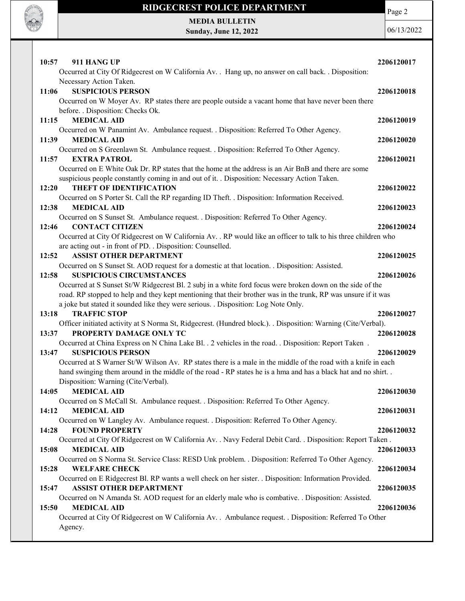

MEDIA BULLETIN Sunday, June 12, 2022 Page 2

| 10:57<br>911 HANG UP                                                                                                                                                                                                        | 2206120017 |
|-----------------------------------------------------------------------------------------------------------------------------------------------------------------------------------------------------------------------------|------------|
| Occurred at City Of Ridgecrest on W California Av. . Hang up, no answer on call back. . Disposition:                                                                                                                        |            |
| Necessary Action Taken.<br>11:06<br><b>SUSPICIOUS PERSON</b>                                                                                                                                                                | 2206120018 |
| Occurred on W Moyer Av. RP states there are people outside a vacant home that have never been there                                                                                                                         |            |
| before. . Disposition: Checks Ok.                                                                                                                                                                                           |            |
| <b>MEDICAL AID</b><br>11:15                                                                                                                                                                                                 | 2206120019 |
| Occurred on W Panamint Av. Ambulance request. . Disposition: Referred To Other Agency.                                                                                                                                      |            |
| 11:39<br><b>MEDICAL AID</b>                                                                                                                                                                                                 | 2206120020 |
| Occurred on S Greenlawn St. Ambulance request. . Disposition: Referred To Other Agency.                                                                                                                                     |            |
| 11:57<br><b>EXTRA PATROL</b>                                                                                                                                                                                                | 2206120021 |
| Occurred on E White Oak Dr. RP states that the home at the address is an Air BnB and there are some                                                                                                                         |            |
| suspicious people constantly coming in and out of it. . Disposition: Necessary Action Taken.<br>12:20<br><b>THEFT OF IDENTIFICATION</b>                                                                                     | 2206120022 |
| Occurred on S Porter St. Call the RP regarding ID Theft. . Disposition: Information Received.                                                                                                                               |            |
| 12:38<br><b>MEDICAL AID</b>                                                                                                                                                                                                 | 2206120023 |
| Occurred on S Sunset St. Ambulance request. . Disposition: Referred To Other Agency.                                                                                                                                        |            |
| 12:46<br><b>CONTACT CITIZEN</b>                                                                                                                                                                                             | 2206120024 |
| Occurred at City Of Ridgecrest on W California Av. . RP would like an officer to talk to his three children who                                                                                                             |            |
| are acting out - in front of PD. . Disposition: Counselled.                                                                                                                                                                 |            |
| 12:52<br><b>ASSIST OTHER DEPARTMENT</b>                                                                                                                                                                                     | 2206120025 |
| Occurred on S Sunset St. AOD request for a domestic at that location. . Disposition: Assisted.                                                                                                                              |            |
| 12:58<br><b>SUSPICIOUS CIRCUMSTANCES</b>                                                                                                                                                                                    | 2206120026 |
| Occurred at S Sunset St/W Ridgecrest Bl. 2 subj in a white ford focus were broken down on the side of the<br>road. RP stopped to help and they kept mentioning that their brother was in the trunk, RP was unsure if it was |            |
| a joke but stated it sounded like they were serious. . Disposition: Log Note Only.                                                                                                                                          |            |
| 13:18<br><b>TRAFFIC STOP</b>                                                                                                                                                                                                | 2206120027 |
| Officer initiated activity at S Norma St, Ridgecrest. (Hundred block.). . Disposition: Warning (Cite/Verbal).                                                                                                               |            |
| 13:37<br>PROPERTY DAMAGE ONLY TC                                                                                                                                                                                            | 2206120028 |
| Occurred at China Express on N China Lake Bl. . 2 vehicles in the road. . Disposition: Report Taken.                                                                                                                        |            |
| <b>SUSPICIOUS PERSON</b><br>13:47                                                                                                                                                                                           | 2206120029 |
| Occurred at S Warner St/W Wilson Av. RP states there is a male in the middle of the road with a knife in each                                                                                                               |            |
| hand swinging them around in the middle of the road - RP states he is a hma and has a black hat and no shirt                                                                                                                |            |
| Disposition: Warning (Cite/Verbal).<br>14:05 MEDICAL AID                                                                                                                                                                    |            |
| Occurred on S McCall St. Ambulance request. . Disposition: Referred To Other Agency.                                                                                                                                        | 2206120030 |
| 14:12<br><b>MEDICAL AID</b>                                                                                                                                                                                                 | 2206120031 |
| Occurred on W Langley Av. Ambulance request. . Disposition: Referred To Other Agency.                                                                                                                                       |            |
| <b>FOUND PROPERTY</b><br>14:28                                                                                                                                                                                              | 2206120032 |
| Occurred at City Of Ridgecrest on W California Av. . Navy Federal Debit Card. . Disposition: Report Taken.                                                                                                                  |            |
| <b>MEDICAL AID</b><br>15:08                                                                                                                                                                                                 | 2206120033 |
| Occurred on S Norma St. Service Class: RESD Unk problem. . Disposition: Referred To Other Agency.                                                                                                                           |            |
| <b>WELFARE CHECK</b><br>15:28                                                                                                                                                                                               | 2206120034 |
| Occurred on E Ridgecrest Bl. RP wants a well check on her sister. . Disposition: Information Provided.                                                                                                                      |            |
| <b>ASSIST OTHER DEPARTMENT</b><br>15:47                                                                                                                                                                                     | 2206120035 |
| Occurred on N Amanda St. AOD request for an elderly male who is combative. . Disposition: Assisted.<br><b>MEDICAL AID</b><br>15:50                                                                                          | 2206120036 |
| Occurred at City Of Ridgecrest on W California Av. . Ambulance request. . Disposition: Referred To Other                                                                                                                    |            |
| Agency.                                                                                                                                                                                                                     |            |
|                                                                                                                                                                                                                             |            |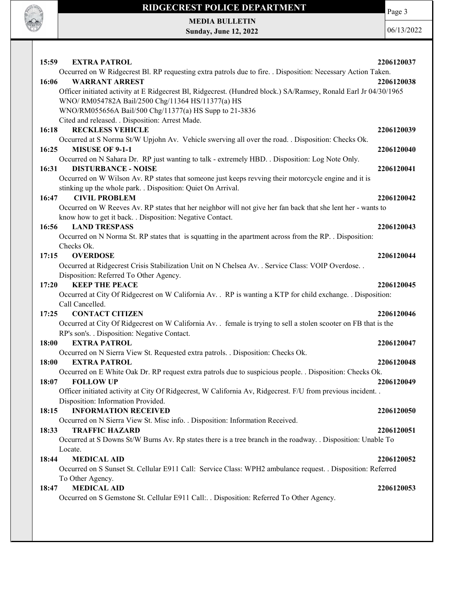

MEDIA BULLETIN Sunday, June 12, 2022

**ROCK OF THE** 

| 15:59<br><b>EXTRA PATROL</b>                                                                                                          | 2206120037 |
|---------------------------------------------------------------------------------------------------------------------------------------|------------|
| Occurred on W Ridgecrest Bl. RP requesting extra patrols due to fire. . Disposition: Necessary Action Taken.                          |            |
| 16:06<br><b>WARRANT ARREST</b>                                                                                                        | 2206120038 |
| Officer initiated activity at E Ridgecrest Bl, Ridgecrest. (Hundred block.) SA/Ramsey, Ronald Earl Jr 04/30/1965                      |            |
| WNO/RM054782A Bail/2500 Chg/11364 HS/11377(a) HS                                                                                      |            |
| WNO/RM055656A Bail/500 Chg/11377(a) HS Supp to 21-3836                                                                                |            |
| Cited and released. . Disposition: Arrest Made.<br><b>RECKLESS VEHICLE</b><br>16:18                                                   | 2206120039 |
| Occurred at S Norma St/W Upjohn Av. Vehicle swerving all over the road. . Disposition: Checks Ok.                                     |            |
| 16:25<br><b>MISUSE OF 9-1-1</b>                                                                                                       | 2206120040 |
| Occurred on N Sahara Dr. RP just wanting to talk - extremely HBD. . Disposition: Log Note Only.                                       |            |
| <b>DISTURBANCE - NOISE</b><br>16:31                                                                                                   | 2206120041 |
| Occurred on W Wilson Av. RP states that someone just keeps revving their motorcycle engine and it is                                  |            |
| stinking up the whole park. . Disposition: Quiet On Arrival.                                                                          |            |
| 16:47<br><b>CIVIL PROBLEM</b>                                                                                                         | 2206120042 |
| Occurred on W Reeves Av. RP states that her neighbor will not give her fan back that she lent her - wants to                          |            |
| know how to get it back. . Disposition: Negative Contact.                                                                             |            |
| 16:56<br><b>LAND TRESPASS</b>                                                                                                         | 2206120043 |
| Occurred on N Norma St. RP states that is squatting in the apartment across from the RP. . Disposition:                               |            |
| Checks Ok.<br>17:15<br><b>OVERDOSE</b>                                                                                                | 2206120044 |
| Occurred at Ridgecrest Crisis Stabilization Unit on N Chelsea Av. . Service Class: VOIP Overdose. .                                   |            |
| Disposition: Referred To Other Agency.                                                                                                |            |
| 17:20<br><b>KEEP THE PEACE</b>                                                                                                        | 2206120045 |
| Occurred at City Of Ridgecrest on W California Av. . RP is wanting a KTP for child exchange. . Disposition:                           |            |
| Call Cancelled.                                                                                                                       |            |
| <b>CONTACT CITIZEN</b><br>17:25                                                                                                       | 2206120046 |
| Occurred at City Of Ridgecrest on W California Av. . female is trying to sell a stolen scooter on FB that is the                      |            |
| RP's son's. . Disposition: Negative Contact.                                                                                          |            |
| <b>EXTRA PATROL</b><br><b>18:00</b>                                                                                                   | 2206120047 |
| Occurred on N Sierra View St. Requested extra patrols. . Disposition: Checks Ok.                                                      |            |
| 18:00<br><b>EXTRA PATROL</b>                                                                                                          | 2206120048 |
| Occurred on E White Oak Dr. RP request extra patrols due to suspicious people. . Disposition: Checks Ok.<br>18:07<br><b>FOLLOW UP</b> | 2206120049 |
| Officer initiated activity at City Of Ridgecrest, W California Av, Ridgecrest. F/U from previous incident. .                          |            |
| Disposition: Information Provided.                                                                                                    |            |
| <b>INFORMATION RECEIVED</b><br>18:15                                                                                                  | 2206120050 |
| Occurred on N Sierra View St. Misc info. . Disposition: Information Received.                                                         |            |
| 18:33<br><b>TRAFFIC HAZARD</b>                                                                                                        | 2206120051 |
| Occurred at S Downs St/W Burns Av. Rp states there is a tree branch in the roadway. . Disposition: Unable To                          |            |
| Locate.                                                                                                                               |            |
| 18:44<br><b>MEDICAL AID</b>                                                                                                           | 2206120052 |
| Occurred on S Sunset St. Cellular E911 Call: Service Class: WPH2 ambulance request. . Disposition: Referred                           |            |
| To Other Agency.                                                                                                                      |            |
| <b>MEDICAL AID</b><br>18:47                                                                                                           | 2206120053 |
| Occurred on S Gemstone St. Cellular E911 Call: Disposition: Referred To Other Agency.                                                 |            |
|                                                                                                                                       |            |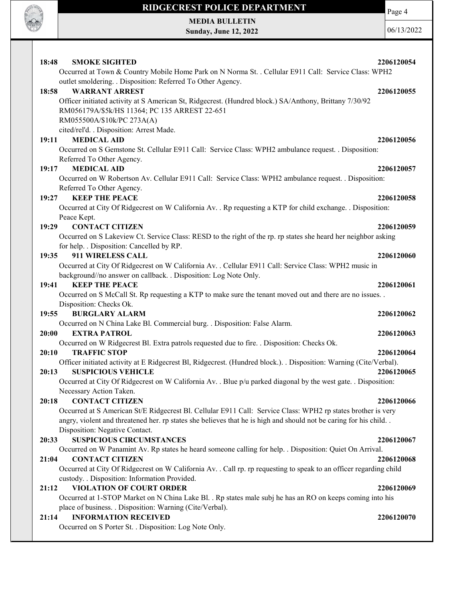

Page 4

MEDIA BULLETIN Sunday, June 12, 2022

| 18:48<br><b>SMOKE SIGHTED</b>                                                                                                                            | 2206120054 |
|----------------------------------------------------------------------------------------------------------------------------------------------------------|------------|
| Occurred at Town & Country Mobile Home Park on N Norma St. . Cellular E911 Call: Service Class: WPH2                                                     |            |
| outlet smoldering. . Disposition: Referred To Other Agency.                                                                                              |            |
| 18:58<br><b>WARRANT ARREST</b>                                                                                                                           | 2206120055 |
| Officer initiated activity at S American St, Ridgecrest. (Hundred block.) SA/Anthony, Brittany 7/30/92<br>RM056179A/\$5k/HS 11364; PC 135 ARREST 22-651  |            |
| RM055500A/\$10k/PC 273A(A)                                                                                                                               |            |
| cited/rel'd. . Disposition: Arrest Made.                                                                                                                 |            |
| <b>MEDICAL AID</b><br>19:11                                                                                                                              | 2206120056 |
| Occurred on S Gemstone St. Cellular E911 Call: Service Class: WPH2 ambulance request. . Disposition:                                                     |            |
| Referred To Other Agency.                                                                                                                                |            |
| <b>MEDICAL AID</b><br>19:17                                                                                                                              | 2206120057 |
| Occurred on W Robertson Av. Cellular E911 Call: Service Class: WPH2 ambulance request. . Disposition:                                                    |            |
| Referred To Other Agency.                                                                                                                                |            |
| <b>KEEP THE PEACE</b><br>19:27                                                                                                                           | 2206120058 |
| Occurred at City Of Ridgecrest on W California Av. . Rp requesting a KTP for child exchange. . Disposition:                                              |            |
| Peace Kept.                                                                                                                                              |            |
| <b>CONTACT CITIZEN</b><br>19:29                                                                                                                          | 2206120059 |
| Occurred on S Lakeview Ct. Service Class: RESD to the right of the rp. rp states she heard her neighbor asking                                           |            |
| for help. . Disposition: Cancelled by RP.                                                                                                                |            |
| 911 WIRELESS CALL<br>19:35                                                                                                                               | 2206120060 |
| Occurred at City Of Ridgecrest on W California Av. . Cellular E911 Call: Service Class: WPH2 music in                                                    |            |
| background//no answer on callback. . Disposition: Log Note Only.                                                                                         |            |
| <b>KEEP THE PEACE</b><br>19:41                                                                                                                           | 2206120061 |
| Occurred on S McCall St. Rp requesting a KTP to make sure the tenant moved out and there are no issues. .                                                |            |
| Disposition: Checks Ok.                                                                                                                                  |            |
| <b>BURGLARY ALARM</b><br>19:55                                                                                                                           | 2206120062 |
| Occurred on N China Lake Bl. Commercial burg. . Disposition: False Alarm.                                                                                |            |
| 20:00<br><b>EXTRA PATROL</b>                                                                                                                             | 2206120063 |
| Occurred on W Ridgecrest Bl. Extra patrols requested due to fire. . Disposition: Checks Ok.                                                              |            |
| <b>TRAFFIC STOP</b><br>20:10                                                                                                                             | 2206120064 |
| Officer initiated activity at E Ridgecrest Bl, Ridgecrest. (Hundred block.). . Disposition: Warning (Cite/Verbal).<br><b>SUSPICIOUS VEHICLE</b><br>20:13 | 2206120065 |
| Occurred at City Of Ridgecrest on W California Av. . Blue p/u parked diagonal by the west gate. . Disposition:                                           |            |
| Necessary Action Taken.                                                                                                                                  |            |
| <b>CONTACT CITIZEN</b><br>20:18                                                                                                                          | 2206120066 |
| Occurred at S American St/E Ridgecrest Bl. Cellular E911 Call: Service Class: WPH2 rp states brother is very                                             |            |
| angry, violent and threatened her. rp states she believes that he is high and should not be caring for his child                                         |            |
| Disposition: Negative Contact.                                                                                                                           |            |
| <b>SUSPICIOUS CIRCUMSTANCES</b><br>20:33                                                                                                                 | 2206120067 |
| Occurred on W Panamint Av. Rp states he heard someone calling for help. . Disposition: Quiet On Arrival.                                                 |            |
| 21:04<br><b>CONTACT CITIZEN</b>                                                                                                                          | 2206120068 |
| Occurred at City Of Ridgecrest on W California Av. . Call rp. rp requesting to speak to an officer regarding child                                       |            |
| custody. . Disposition: Information Provided.                                                                                                            |            |
| 21:12<br><b>VIOLATION OF COURT ORDER</b>                                                                                                                 | 2206120069 |
| Occurred at 1-STOP Market on N China Lake Bl. . Rp states male subj he has an RO on keeps coming into his                                                |            |
| place of business. . Disposition: Warning (Cite/Verbal).                                                                                                 |            |
| <b>INFORMATION RECEIVED</b><br>21:14                                                                                                                     | 2206120070 |
| Occurred on S Porter St. . Disposition: Log Note Only.                                                                                                   |            |